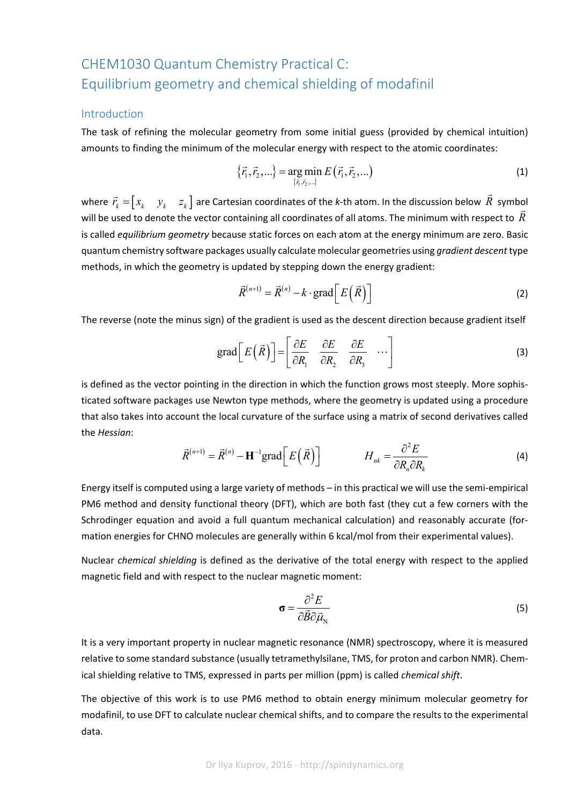# CHEM1030 Quantum Chemistry Practical C: Equilibrium geometry and chemical shielding of modafinil

#### Introduction

The task of refining the molecular geometry from some initial guess (provided by chemical intuition) amounts to finding the minimum of the molecular energy with respect to the atomic coordinates:

$$
\{\vec{r}_1, \vec{r}_2, ...\} = \underset{\{\vec{r}_1, \vec{r}_2, ...\}}{\arg \min} E(\vec{r}_1, \vec{r}_2, ...)
$$
 (1)

where  $\vec{r}_k = \begin{bmatrix} x_k & y_k & z_k \end{bmatrix}$  are Cartesian coordinates of the *k*-th atom. In the discussion below  $\vec{R}$  symbol will be used to denote the vector containing all coordinates of all atoms. The minimum with respect to *R* is called *equilibrium geometry* because static forces on each atom at the energy minimum are zero. Basic quantum chemistry software packages usually calculate molecular geometries using *gradient descent*type methods, in which the geometry is updated by stepping down the energy gradient:

$$
\vec{R}^{(n+1)} = \vec{R}^{(n)} - k \cdot \text{grad}\bigg[E\big(\vec{R}\big)\bigg]
$$
 (2)

The reverse (note the minus sign) of the gradient is used as the descent direction because gradient itself

$$
\text{grad}\left[E\left(\vec{R}\right)\right] = \left[\begin{array}{cc} \frac{\partial E}{\partial R_1} & \frac{\partial E}{\partial R_2} & \frac{\partial E}{\partial R_3} & \cdots \end{array}\right] \tag{3}
$$

is defined as the vector pointing in the direction in which the function grows most steeply. More sophis‐ ticated software packages use Newton type methods, where the geometry is updated using a procedure that also takes into account the local curvature of the surface using a matrix of second derivatives called the *Hessian*:

$$
\vec{R}^{(n+1)} = \vec{R}^{(n)} - \mathbf{H}^{-1} \text{grad} \Big[ E\Big(\vec{R}\Big) \Big] \qquad H_{nk} = \frac{\partial^2 E}{\partial R_n \partial R_k} \tag{4}
$$

Energy itself is computed using a large variety of methods – in this practical we will use the semi‐empirical PM6 method and density functional theory (DFT), which are both fast (they cut a few corners with the Schrodinger equation and avoid a full quantum mechanical calculation) and reasonably accurate (formation energies for CHNO molecules are generally within 6 kcal/mol from their experimental values).

Nuclear *chemical shielding* is defined as the derivative of the total energy with respect to the applied magnetic field and with respect to the nuclear magnetic moment:

$$
\sigma = \frac{\partial^2 E}{\partial \vec{B} \partial \vec{\mu}_{\rm N}}
$$
 (5)

It is a very important property in nuclear magnetic resonance (NMR) spectroscopy, where it is measured relative to some standard substance (usually tetramethylsilane, TMS, for proton and carbon NMR). Chem‐ ical shielding relative to TMS, expressed in parts per million (ppm) is called *chemical shift*.

The objective of this work is to use PM6 method to obtain energy minimum molecular geometry for modafinil, to use DFT to calculate nuclear chemical shifts, and to compare the results to the experimental data.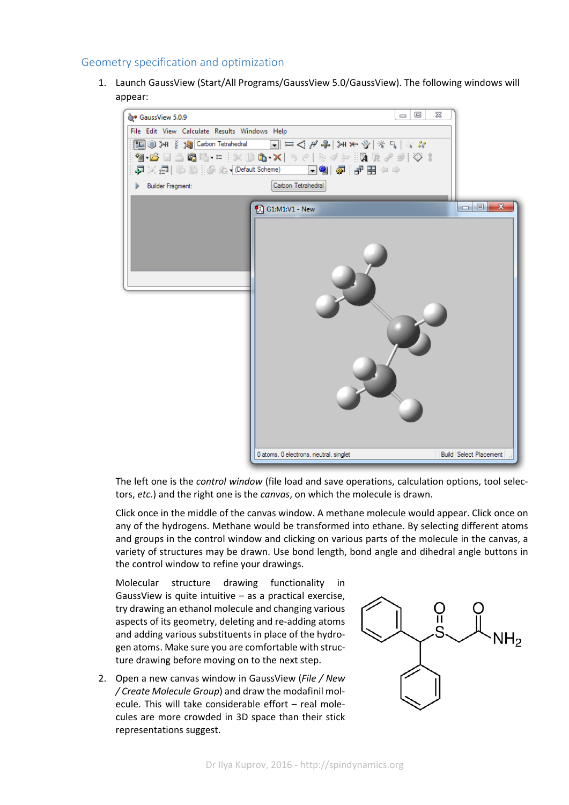## Geometry specification and optimization

1. Launch GaussView (Start/All Programs/GaussView 5.0/GaussView). The following windows will appear:



The left one is the *control window* (file load and save operations, calculation options, tool selec‐ tors, *etc.*) and the right one is the *canvas*, on which the molecule is drawn.

Click once in the middle of the canvas window. A methane molecule would appear. Click once on any of the hydrogens. Methane would be transformed into ethane. By selecting different atoms and groups in the control window and clicking on various parts of the molecule in the canvas, a variety of structures may be drawn. Use bond length, bond angle and dihedral angle buttons in the control window to refine your drawings.

Molecular structure drawing functionality in GaussView is quite intuitive – as a practical exercise, try drawing an ethanol molecule and changing various aspects of its geometry, deleting and re‐adding atoms and adding various substituents in place of the hydro‐ gen atoms. Make sure you are comfortable with struc‐ ture drawing before moving on to the next step.

2. Open a new canvas window in GaussView (*File / New / Create Molecule Group*) and draw the modafinil mol‐ ecule. This will take considerable effort – real mole‐ cules are more crowded in 3D space than their stick representations suggest.

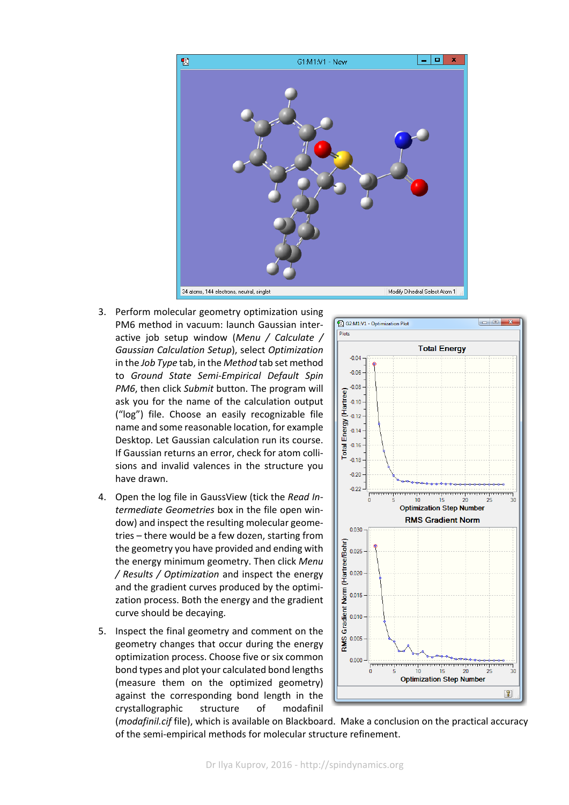

- 3. Perform molecular geometry optimization using PM6 method in vacuum: launch Gaussian inter‐ active job setup window (*Menu / Calculate / Gaussian Calculation Setup*), select *Optimization* in the *Job Type* tab, in the *Method* tab set method to *Ground State Semi‐Empirical Default Spin PM6*, then click *Submit* button. The program will ask you for the name of the calculation output ("log") file. Choose an easily recognizable file name and some reasonable location, for example Desktop. Let Gaussian calculation run its course. If Gaussian returns an error, check for atom colli‐ sions and invalid valences in the structure you have drawn.
- 4. Open the log file in GaussView (tick the *Read In‐ termediate Geometries* box in the file open win‐ dow) and inspect the resulting molecular geome‐ tries – there would be a few dozen, starting from the geometry you have provided and ending with the energy minimum geometry. Then click *Menu / Results / Optimization* and inspect the energy and the gradient curves produced by the optimi‐ zation process. Both the energy and the gradient curve should be decaying.
- 5. Inspect the final geometry and comment on the geometry changes that occur during the energy optimization process. Choose five or six common bond types and plot your calculated bond lengths (measure them on the optimized geometry) against the corresponding bond length in the crystallographic structure of modafinil



(*modafinil.cif* file), which is available on Blackboard. Make a conclusion on the practical accuracy of the semi‐empirical methods for molecular structure refinement.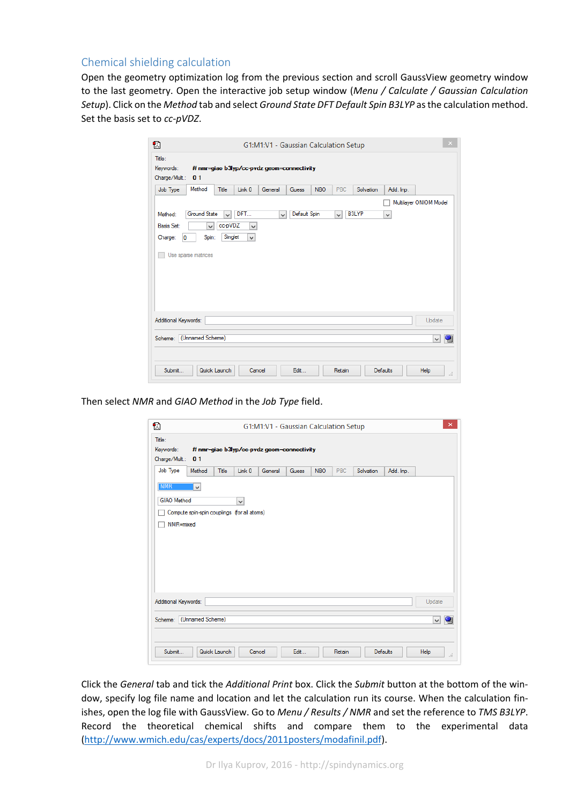## Chemical shielding calculation

Open the geometry optimization log from the previous section and scroll GaussView geometry window to the last geometry. Open the interactive job setup window (*Menu / Calculate / Gaussian Calculation Setup*). Click on the *Method* tab and select *Ground State DFT Default Spin B3LYP* asthe calculation method. Set the basis set to *cc‐pVDZ*.

| Ð                                            |                                                                     |                          |                                     | G1:M1:V1 - Gaussian Calculation Setup      |              |            |        |              |           |                        | $\times$ |
|----------------------------------------------|---------------------------------------------------------------------|--------------------------|-------------------------------------|--------------------------------------------|--------------|------------|--------|--------------|-----------|------------------------|----------|
| Title:<br>Keywords:<br>Charge/Mult.:         | 0 <sub>1</sub>                                                      |                          |                                     | # nmr=giao b3lyp/cc-pvdz geom=connectivity |              |            |        |              |           |                        |          |
| Job Type                                     | Method                                                              | Title                    | Link 0                              | General                                    | Guess        | <b>NBO</b> | PBC    | Solvation    | Add. Inp. |                        |          |
| Method:<br><b>Basis Set:</b><br>Charge:<br>O | <b>Ground State</b><br>$\checkmark$<br>Spin:<br>Use sparse matrices | νI<br>cc-pVDZ<br>Singlet | DFT<br>$\checkmark$<br>$\checkmark$ | $\checkmark$                               | Default Spin |            | vl     | <b>B3LYP</b> | v         | Multilayer ONIOM Model |          |
| Additional Keywords:                         |                                                                     |                          |                                     |                                            |              |            |        |              |           | Update                 |          |
| Scheme:                                      | (Unnamed Scheme)                                                    |                          |                                     |                                            |              |            |        |              |           | $\vee$                 | 嚁        |
| Submit                                       | Quick Launch                                                        |                          | Cancel                              |                                            | Edit         |            | Retain |              | Defaults  | <b>Help</b>            |          |

Then select *NMR* and *GIAO Method* in the *Job Type* field.

| <b>NMR</b><br>$\checkmark$<br>GIAO Method<br>v |        |
|------------------------------------------------|--------|
|                                                |        |
|                                                |        |
| Compute spin-spin couplings (for all atoms)    |        |
| NMR=mixed                                      |        |
|                                                |        |
|                                                |        |
|                                                |        |
|                                                |        |
|                                                |        |
|                                                |        |
|                                                |        |
|                                                |        |
| Additional Keywords:                           | Update |

Click the *General* tab and tick the *Additional Print* box. Click the *Submit* button at the bottom of the win‐ dow, specify log file name and location and let the calculation run its course. When the calculation fin‐ ishes, open the log file with GaussView. Go to *Menu / Results / NMR* and set the reference to *TMS B3LYP*. Record the theoretical chemical shifts and compare them to the experimental data (http://www.wmich.edu/cas/experts/docs/2011posters/modafinil.pdf).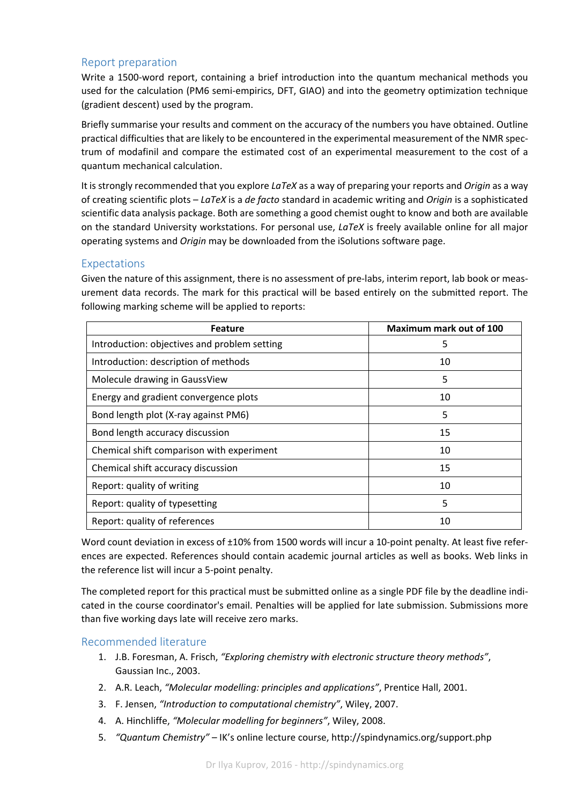## Report preparation

Write a 1500-word report, containing a brief introduction into the quantum mechanical methods you used for the calculation (PM6 semi‐empirics, DFT, GIAO) and into the geometry optimization technique (gradient descent) used by the program.

Briefly summarise your results and comment on the accuracy of the numbers you have obtained. Outline practical difficulties that are likely to be encountered in the experimental measurement of the NMR spec‐ trum of modafinil and compare the estimated cost of an experimental measurement to the cost of a quantum mechanical calculation.

It is strongly recommended that you explore *LaTeX* as a way of preparing your reports and *Origin* as a way of creating scientific plots – *LaTeX* is a *de facto* standard in academic writing and *Origin* is a sophisticated scientific data analysis package. Both are something a good chemist ought to know and both are available on the standard University workstations. For personal use, *LaTeX* is freely available online for all major operating systems and *Origin* may be downloaded from the iSolutions software page.

## Expectations

Given the nature of this assignment, there is no assessment of pre-labs, interim report, lab book or measurement data records. The mark for this practical will be based entirely on the submitted report. The following marking scheme will be applied to reports:

| <b>Feature</b>                               | Maximum mark out of 100 |
|----------------------------------------------|-------------------------|
| Introduction: objectives and problem setting | 5                       |
| Introduction: description of methods         | 10                      |
| Molecule drawing in GaussView                | 5                       |
| Energy and gradient convergence plots        | 10                      |
| Bond length plot (X-ray against PM6)         | 5                       |
| Bond length accuracy discussion              | 15                      |
| Chemical shift comparison with experiment    | 10                      |
| Chemical shift accuracy discussion           | 15                      |
| Report: quality of writing                   | 10                      |
| Report: quality of typesetting               | 5                       |
| Report: quality of references                | 10                      |

Word count deviation in excess of ±10% from 1500 words will incur a 10-point penalty. At least five references are expected. References should contain academic journal articles as well as books. Web links in the reference list will incur a 5‐point penalty.

The completed report for this practical must be submitted online as a single PDF file by the deadline indi‐ cated in the course coordinator's email. Penalties will be applied for late submission. Submissions more than five working days late will receive zero marks.

## Recommended literature

- 1. J.B. Foresman, A. Frisch, *"Exploring chemistry with electronic structure theory methods"*, Gaussian Inc., 2003.
- 2. A.R. Leach, *"Molecular modelling: principles and applications"*, Prentice Hall, 2001.
- 3. F. Jensen, *"Introduction to computational chemistry"*, Wiley, 2007.
- 4. A. Hinchliffe, *"Molecular modelling for beginners"*, Wiley, 2008.
- 5. *"Quantum Chemistry"* IK's online lecture course, http://spindynamics.org/support.php